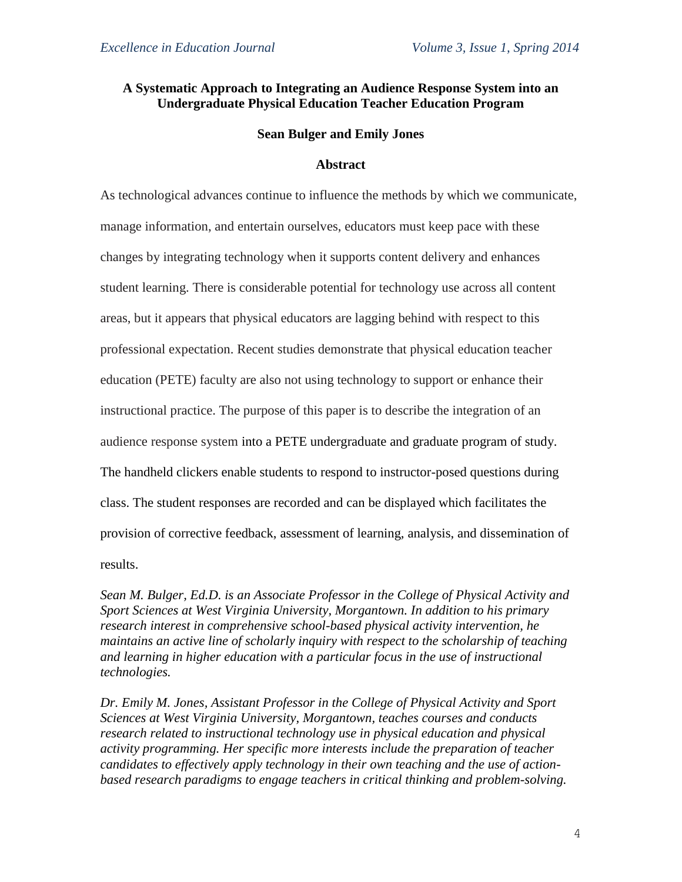# **A Systematic Approach to Integrating an Audience Response System into an Undergraduate Physical Education Teacher Education Program**

## **Sean Bulger and Emily Jones**

# **Abstract**

As technological advances continue to influence the methods by which we communicate, manage information, and entertain ourselves, educators must keep pace with these changes by integrating technology when it supports content delivery and enhances student learning. There is considerable potential for technology use across all content areas, but it appears that physical educators are lagging behind with respect to this professional expectation. Recent studies demonstrate that physical education teacher education (PETE) faculty are also not using technology to support or enhance their instructional practice. The purpose of this paper is to describe the integration of an audience response system into a PETE undergraduate and graduate program of study. The handheld clickers enable students to respond to instructor-posed questions during class. The student responses are recorded and can be displayed which facilitates the provision of corrective feedback, assessment of learning, analysis, and dissemination of results.

*Sean M. Bulger, Ed.D. is an Associate Professor in the College of Physical Activity and Sport Sciences at West Virginia University, Morgantown. In addition to his primary research interest in comprehensive school-based physical activity intervention, he maintains an active line of scholarly inquiry with respect to the scholarship of teaching and learning in higher education with a particular focus in the use of instructional technologies.*

*Dr. Emily M. Jones, Assistant Professor in the College of Physical Activity and Sport Sciences at West Virginia University, Morgantown, teaches courses and conducts research related to instructional technology use in physical education and physical activity programming. Her specific more interests include the preparation of teacher candidates to effectively apply technology in their own teaching and the use of actionbased research paradigms to engage teachers in critical thinking and problem-solving.*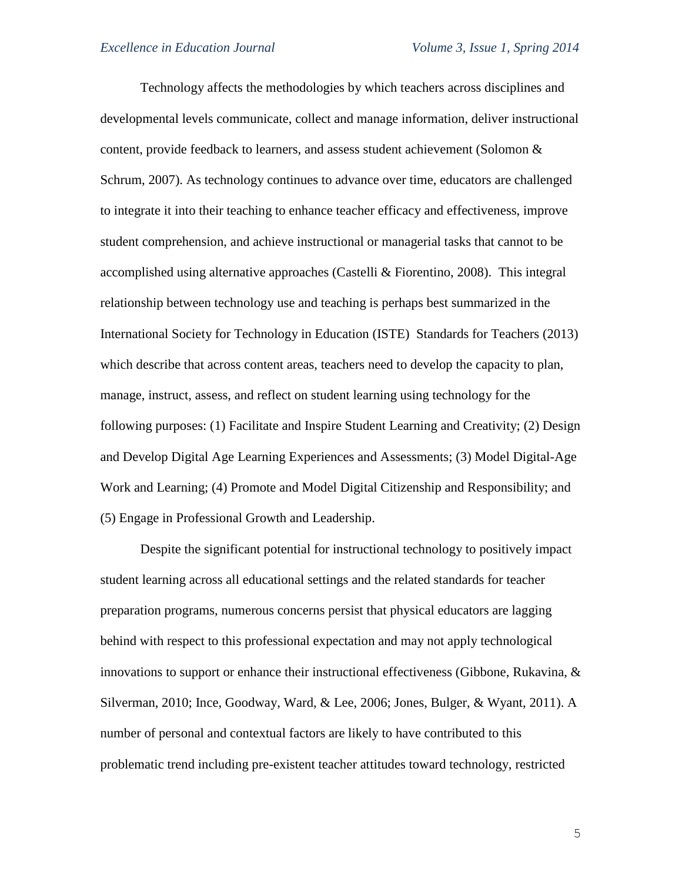Technology affects the methodologies by which teachers across disciplines and developmental levels communicate, collect and manage information, deliver instructional content, provide feedback to learners, and assess student achievement (Solomon  $\&$ Schrum, 2007). As technology continues to advance over time, educators are challenged to integrate it into their teaching to enhance teacher efficacy and effectiveness, improve student comprehension, and achieve instructional or managerial tasks that cannot to be accomplished using alternative approaches (Castelli & Fiorentino, 2008). This integral relationship between technology use and teaching is perhaps best summarized in the International Society for Technology in Education (ISTE) Standards for Teachers (2013) which describe that across content areas, teachers need to develop the capacity to plan, manage, instruct, assess, and reflect on student learning using technology for the following purposes: (1) Facilitate and Inspire Student Learning and Creativity; (2) Design and Develop Digital Age Learning Experiences and Assessments; (3) Model Digital-Age Work and Learning; (4) Promote and Model Digital Citizenship and Responsibility; and (5) Engage in Professional Growth and Leadership.

Despite the significant potential for instructional technology to positively impact student learning across all educational settings and the related standards for teacher preparation programs, numerous concerns persist that physical educators are lagging behind with respect to this professional expectation and may not apply technological innovations to support or enhance their instructional effectiveness (Gibbone, Rukavina, & Silverman, 2010; Ince, Goodway, Ward, & Lee, 2006; Jones, Bulger, & Wyant, 2011). A number of personal and contextual factors are likely to have contributed to this problematic trend including pre-existent teacher attitudes toward technology, restricted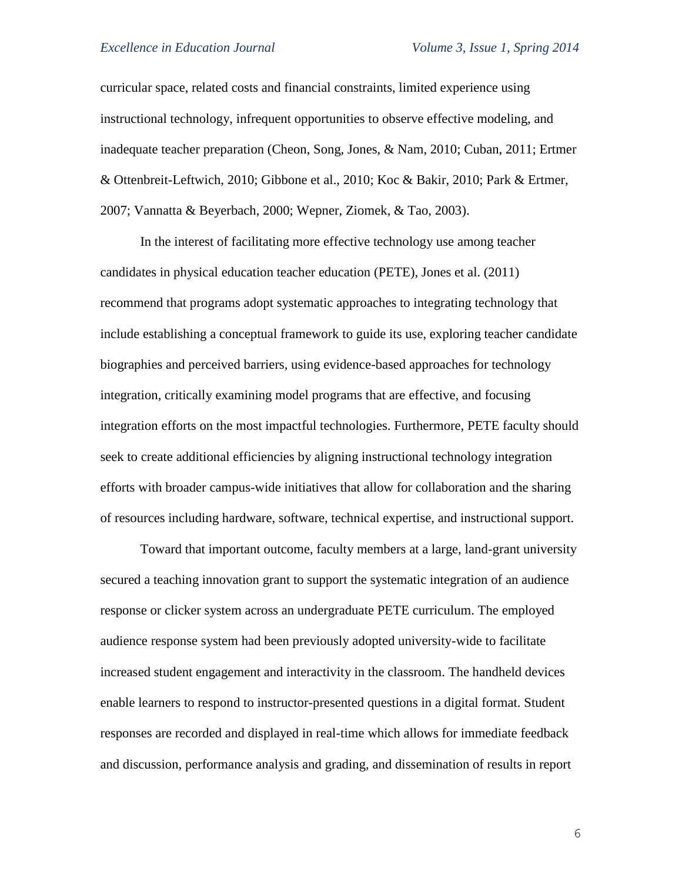curricular space, related costs and financial constraints, limited experience using instructional technology, infrequent opportunities to observe effective modeling, and inadequate teacher preparation (Cheon, Song, Jones, & Nam, 2010; Cuban, 2011; Ertmer & Ottenbreit-Leftwich, 2010; Gibbone et al., 2010; Koc & Bakir, 2010; Park & Ertmer, 2007; Vannatta & Beyerbach, 2000; Wepner, Ziomek, & Tao, 2003).

In the interest of facilitating more effective technology use among teacher candidates in physical education teacher education (PETE), Jones et al. (2011) recommend that programs adopt systematic approaches to integrating technology that include establishing a conceptual framework to guide its use, exploring teacher candidate biographies and perceived barriers, using evidence-based approaches for technology integration, critically examining model programs that are effective, and focusing integration efforts on the most impactful technologies. Furthermore, PETE faculty should seek to create additional efficiencies by aligning instructional technology integration efforts with broader campus-wide initiatives that allow for collaboration and the sharing of resources including hardware, software, technical expertise, and instructional support.

Toward that important outcome, faculty members at a large, land-grant university secured a teaching innovation grant to support the systematic integration of an audience response or clicker system across an undergraduate PETE curriculum. The employed audience response system had been previously adopted university-wide to facilitate increased student engagement and interactivity in the classroom. The handheld devices enable learners to respond to instructor-presented questions in a digital format. Student responses are recorded and displayed in real-time which allows for immediate feedback and discussion, performance analysis and grading, and dissemination of results in report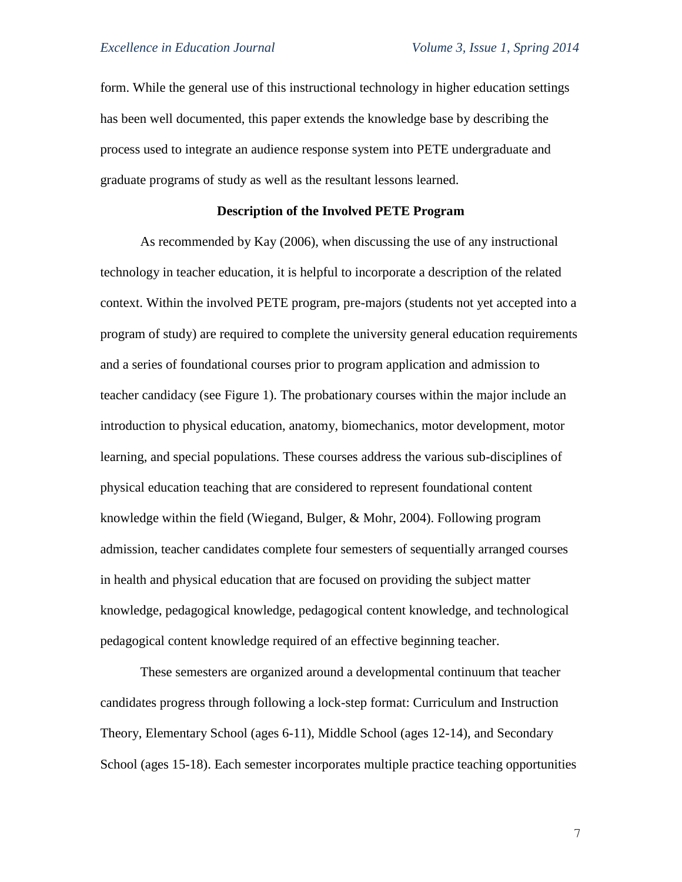form. While the general use of this instructional technology in higher education settings has been well documented, this paper extends the knowledge base by describing the process used to integrate an audience response system into PETE undergraduate and graduate programs of study as well as the resultant lessons learned.

# **Description of the Involved PETE Program**

As recommended by Kay (2006), when discussing the use of any instructional technology in teacher education, it is helpful to incorporate a description of the related context. Within the involved PETE program, pre-majors (students not yet accepted into a program of study) are required to complete the university general education requirements and a series of foundational courses prior to program application and admission to teacher candidacy (see Figure 1). The probationary courses within the major include an introduction to physical education, anatomy, biomechanics, motor development, motor learning, and special populations. These courses address the various sub-disciplines of physical education teaching that are considered to represent foundational content knowledge within the field (Wiegand, Bulger, & Mohr, 2004). Following program admission, teacher candidates complete four semesters of sequentially arranged courses in health and physical education that are focused on providing the subject matter knowledge, pedagogical knowledge, pedagogical content knowledge, and technological pedagogical content knowledge required of an effective beginning teacher.

These semesters are organized around a developmental continuum that teacher candidates progress through following a lock-step format: Curriculum and Instruction Theory, Elementary School (ages 6-11), Middle School (ages 12-14), and Secondary School (ages 15-18). Each semester incorporates multiple practice teaching opportunities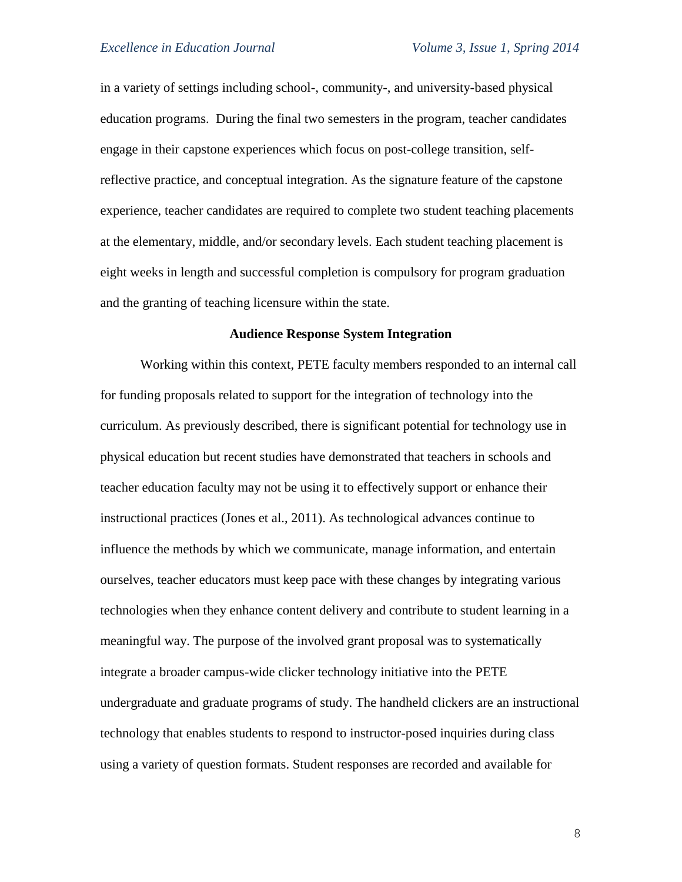in a variety of settings including school-, community-, and university-based physical education programs. During the final two semesters in the program, teacher candidates engage in their capstone experiences which focus on post-college transition, selfreflective practice, and conceptual integration. As the signature feature of the capstone experience, teacher candidates are required to complete two student teaching placements at the elementary, middle, and/or secondary levels. Each student teaching placement is eight weeks in length and successful completion is compulsory for program graduation and the granting of teaching licensure within the state.

#### **Audience Response System Integration**

Working within this context, PETE faculty members responded to an internal call for funding proposals related to support for the integration of technology into the curriculum. As previously described, there is significant potential for technology use in physical education but recent studies have demonstrated that teachers in schools and teacher education faculty may not be using it to effectively support or enhance their instructional practices (Jones et al., 2011). As technological advances continue to influence the methods by which we communicate, manage information, and entertain ourselves, teacher educators must keep pace with these changes by integrating various technologies when they enhance content delivery and contribute to student learning in a meaningful way. The purpose of the involved grant proposal was to systematically integrate a broader campus-wide clicker technology initiative into the PETE undergraduate and graduate programs of study. The handheld clickers are an instructional technology that enables students to respond to instructor-posed inquiries during class using a variety of question formats. Student responses are recorded and available for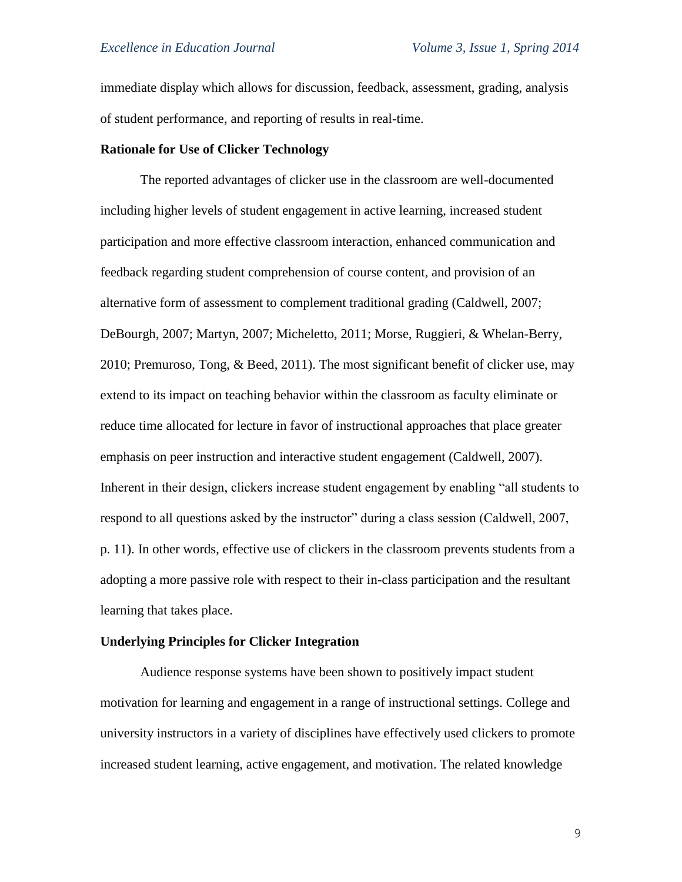immediate display which allows for discussion, feedback, assessment, grading, analysis of student performance, and reporting of results in real-time.

#### **Rationale for Use of Clicker Technology**

The reported advantages of clicker use in the classroom are well-documented including higher levels of student engagement in active learning, increased student participation and more effective classroom interaction, enhanced communication and feedback regarding student comprehension of course content, and provision of an alternative form of assessment to complement traditional grading (Caldwell, 2007; DeBourgh, 2007; Martyn, 2007; Micheletto, 2011; Morse, Ruggieri, & Whelan-Berry, 2010; Premuroso, Tong, & Beed, 2011). The most significant benefit of clicker use, may extend to its impact on teaching behavior within the classroom as faculty eliminate or reduce time allocated for lecture in favor of instructional approaches that place greater emphasis on peer instruction and interactive student engagement (Caldwell, 2007). Inherent in their design, clickers increase student engagement by enabling "all students to respond to all questions asked by the instructor" during a class session (Caldwell, 2007, p. 11). In other words, effective use of clickers in the classroom prevents students from a adopting a more passive role with respect to their in-class participation and the resultant learning that takes place.

#### **Underlying Principles for Clicker Integration**

Audience response systems have been shown to positively impact student motivation for learning and engagement in a range of instructional settings. College and university instructors in a variety of disciplines have effectively used clickers to promote increased student learning, active engagement, and motivation. The related knowledge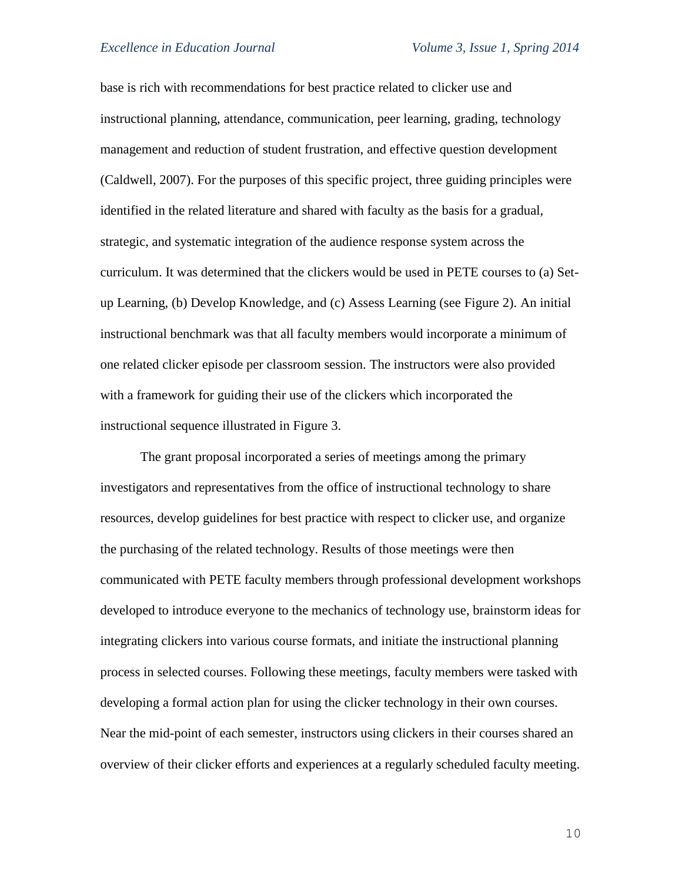base is rich with recommendations for best practice related to clicker use and instructional planning, attendance, communication, peer learning, grading, technology management and reduction of student frustration, and effective question development (Caldwell, 2007). For the purposes of this specific project, three guiding principles were identified in the related literature and shared with faculty as the basis for a gradual, strategic, and systematic integration of the audience response system across the curriculum. It was determined that the clickers would be used in PETE courses to (a) Setup Learning, (b) Develop Knowledge, and (c) Assess Learning (see Figure 2). An initial instructional benchmark was that all faculty members would incorporate a minimum of one related clicker episode per classroom session. The instructors were also provided with a framework for guiding their use of the clickers which incorporated the instructional sequence illustrated in Figure 3.

The grant proposal incorporated a series of meetings among the primary investigators and representatives from the office of instructional technology to share resources, develop guidelines for best practice with respect to clicker use, and organize the purchasing of the related technology. Results of those meetings were then communicated with PETE faculty members through professional development workshops developed to introduce everyone to the mechanics of technology use, brainstorm ideas for integrating clickers into various course formats, and initiate the instructional planning process in selected courses. Following these meetings, faculty members were tasked with developing a formal action plan for using the clicker technology in their own courses. Near the mid-point of each semester, instructors using clickers in their courses shared an overview of their clicker efforts and experiences at a regularly scheduled faculty meeting.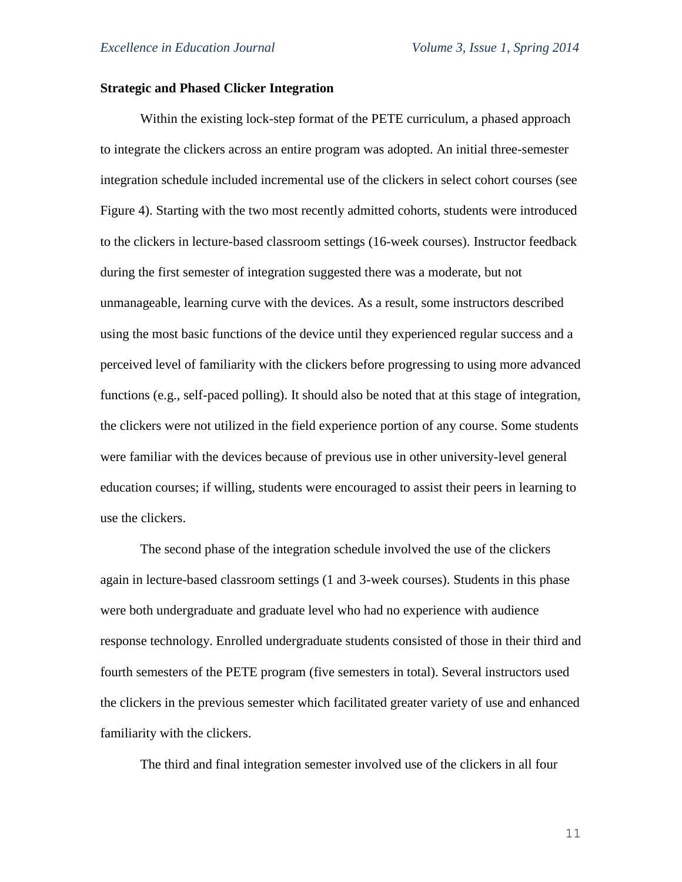## **Strategic and Phased Clicker Integration**

Within the existing lock-step format of the PETE curriculum, a phased approach to integrate the clickers across an entire program was adopted. An initial three-semester integration schedule included incremental use of the clickers in select cohort courses (see Figure 4). Starting with the two most recently admitted cohorts, students were introduced to the clickers in lecture-based classroom settings (16-week courses). Instructor feedback during the first semester of integration suggested there was a moderate, but not unmanageable, learning curve with the devices. As a result, some instructors described using the most basic functions of the device until they experienced regular success and a perceived level of familiarity with the clickers before progressing to using more advanced functions (e.g., self-paced polling). It should also be noted that at this stage of integration, the clickers were not utilized in the field experience portion of any course. Some students were familiar with the devices because of previous use in other university-level general education courses; if willing, students were encouraged to assist their peers in learning to use the clickers.

The second phase of the integration schedule involved the use of the clickers again in lecture-based classroom settings (1 and 3-week courses). Students in this phase were both undergraduate and graduate level who had no experience with audience response technology. Enrolled undergraduate students consisted of those in their third and fourth semesters of the PETE program (five semesters in total). Several instructors used the clickers in the previous semester which facilitated greater variety of use and enhanced familiarity with the clickers.

The third and final integration semester involved use of the clickers in all four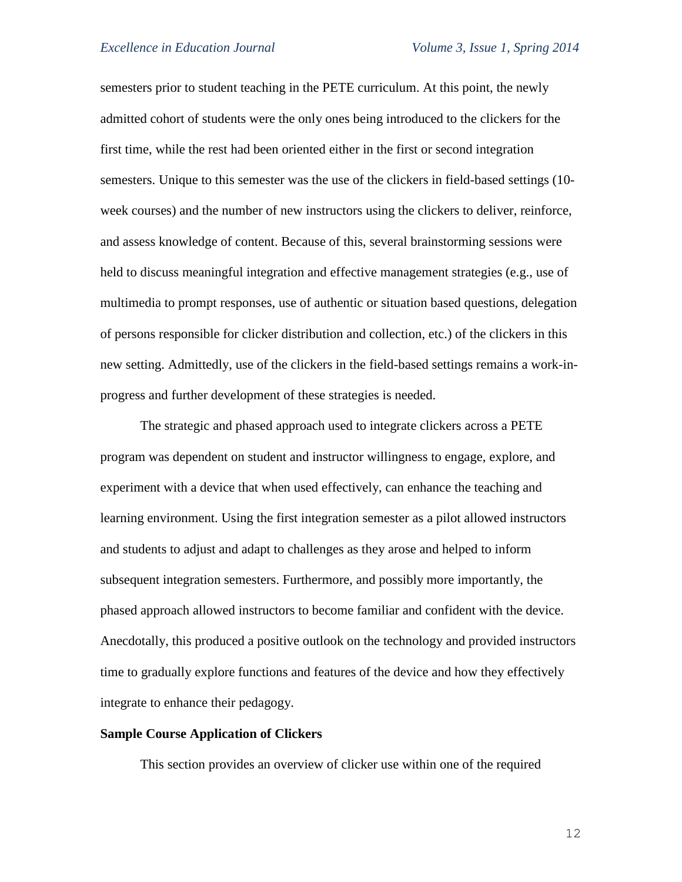semesters prior to student teaching in the PETE curriculum. At this point, the newly admitted cohort of students were the only ones being introduced to the clickers for the first time, while the rest had been oriented either in the first or second integration semesters. Unique to this semester was the use of the clickers in field-based settings (10 week courses) and the number of new instructors using the clickers to deliver, reinforce, and assess knowledge of content. Because of this, several brainstorming sessions were held to discuss meaningful integration and effective management strategies (e.g., use of multimedia to prompt responses, use of authentic or situation based questions, delegation of persons responsible for clicker distribution and collection, etc.) of the clickers in this new setting. Admittedly, use of the clickers in the field-based settings remains a work-inprogress and further development of these strategies is needed.

The strategic and phased approach used to integrate clickers across a PETE program was dependent on student and instructor willingness to engage, explore, and experiment with a device that when used effectively, can enhance the teaching and learning environment. Using the first integration semester as a pilot allowed instructors and students to adjust and adapt to challenges as they arose and helped to inform subsequent integration semesters. Furthermore, and possibly more importantly, the phased approach allowed instructors to become familiar and confident with the device. Anecdotally, this produced a positive outlook on the technology and provided instructors time to gradually explore functions and features of the device and how they effectively integrate to enhance their pedagogy.

## **Sample Course Application of Clickers**

This section provides an overview of clicker use within one of the required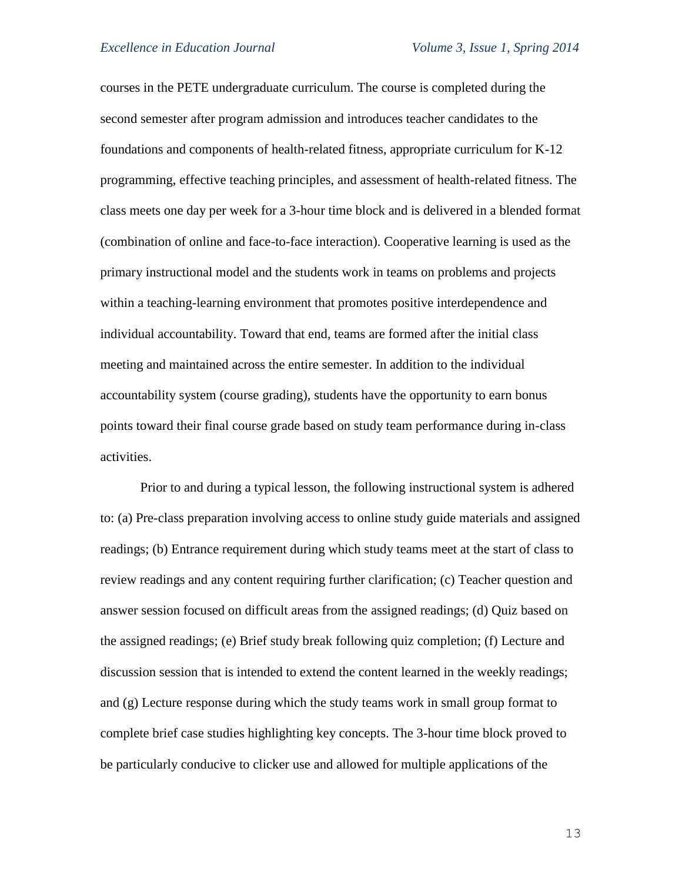courses in the PETE undergraduate curriculum. The course is completed during the second semester after program admission and introduces teacher candidates to the foundations and components of health-related fitness, appropriate curriculum for K-12 programming, effective teaching principles, and assessment of health-related fitness. The class meets one day per week for a 3-hour time block and is delivered in a blended format (combination of online and face-to-face interaction). Cooperative learning is used as the primary instructional model and the students work in teams on problems and projects within a teaching-learning environment that promotes positive interdependence and individual accountability. Toward that end, teams are formed after the initial class meeting and maintained across the entire semester. In addition to the individual accountability system (course grading), students have the opportunity to earn bonus points toward their final course grade based on study team performance during in-class activities.

Prior to and during a typical lesson, the following instructional system is adhered to: (a) Pre-class preparation involving access to online study guide materials and assigned readings; (b) Entrance requirement during which study teams meet at the start of class to review readings and any content requiring further clarification; (c) Teacher question and answer session focused on difficult areas from the assigned readings; (d) Quiz based on the assigned readings; (e) Brief study break following quiz completion; (f) Lecture and discussion session that is intended to extend the content learned in the weekly readings; and (g) Lecture response during which the study teams work in small group format to complete brief case studies highlighting key concepts. The 3-hour time block proved to be particularly conducive to clicker use and allowed for multiple applications of the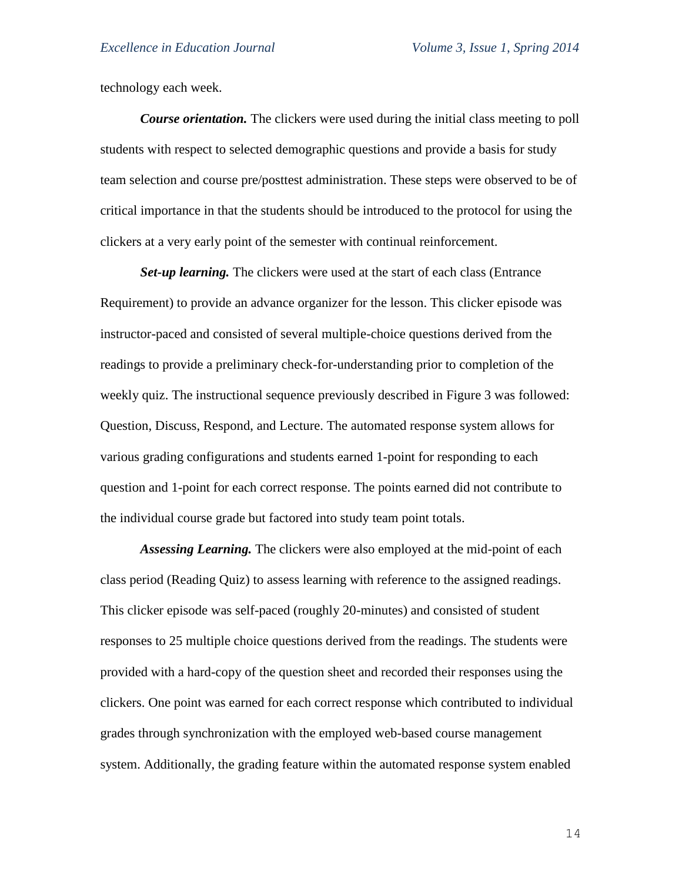technology each week.

*Course orientation.* The clickers were used during the initial class meeting to poll students with respect to selected demographic questions and provide a basis for study team selection and course pre/posttest administration. These steps were observed to be of critical importance in that the students should be introduced to the protocol for using the clickers at a very early point of the semester with continual reinforcement.

*Set-up learning.* The clickers were used at the start of each class (Entrance Requirement) to provide an advance organizer for the lesson. This clicker episode was instructor-paced and consisted of several multiple-choice questions derived from the readings to provide a preliminary check-for-understanding prior to completion of the weekly quiz. The instructional sequence previously described in Figure 3 was followed: Question, Discuss, Respond, and Lecture. The automated response system allows for various grading configurations and students earned 1-point for responding to each question and 1-point for each correct response. The points earned did not contribute to the individual course grade but factored into study team point totals.

*Assessing Learning.* The clickers were also employed at the mid-point of each class period (Reading Quiz) to assess learning with reference to the assigned readings. This clicker episode was self-paced (roughly 20-minutes) and consisted of student responses to 25 multiple choice questions derived from the readings. The students were provided with a hard-copy of the question sheet and recorded their responses using the clickers. One point was earned for each correct response which contributed to individual grades through synchronization with the employed web-based course management system. Additionally, the grading feature within the automated response system enabled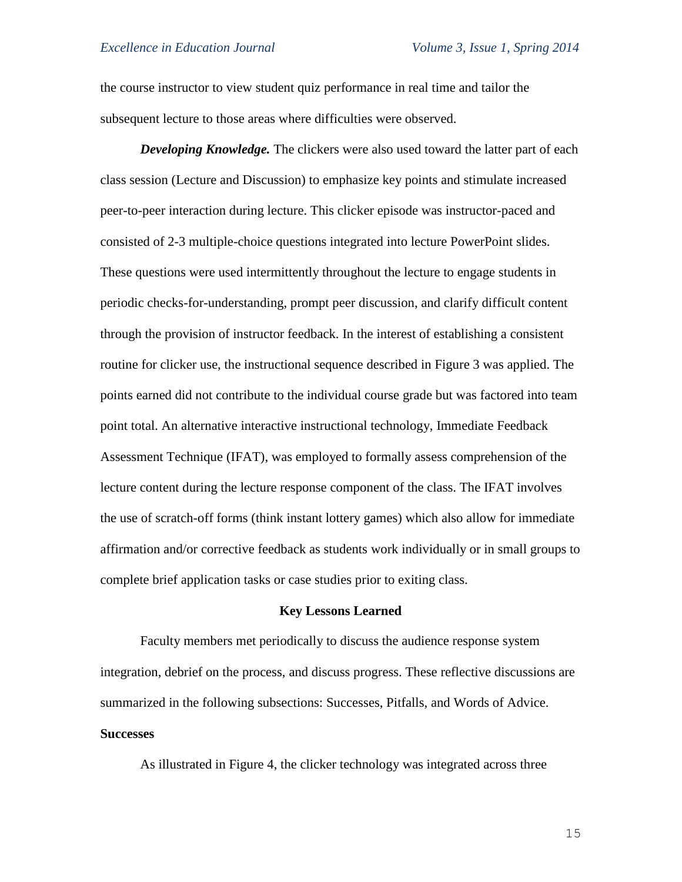the course instructor to view student quiz performance in real time and tailor the subsequent lecture to those areas where difficulties were observed.

*Developing Knowledge.* The clickers were also used toward the latter part of each class session (Lecture and Discussion) to emphasize key points and stimulate increased peer-to-peer interaction during lecture. This clicker episode was instructor-paced and consisted of 2-3 multiple-choice questions integrated into lecture PowerPoint slides. These questions were used intermittently throughout the lecture to engage students in periodic checks-for-understanding, prompt peer discussion, and clarify difficult content through the provision of instructor feedback. In the interest of establishing a consistent routine for clicker use, the instructional sequence described in Figure 3 was applied. The points earned did not contribute to the individual course grade but was factored into team point total. An alternative interactive instructional technology, Immediate Feedback Assessment Technique (IFAT), was employed to formally assess comprehension of the lecture content during the lecture response component of the class. The IFAT involves the use of scratch-off forms (think instant lottery games) which also allow for immediate affirmation and/or corrective feedback as students work individually or in small groups to complete brief application tasks or case studies prior to exiting class.

#### **Key Lessons Learned**

Faculty members met periodically to discuss the audience response system integration, debrief on the process, and discuss progress. These reflective discussions are summarized in the following subsections: Successes, Pitfalls, and Words of Advice. **Successes**

As illustrated in Figure 4, the clicker technology was integrated across three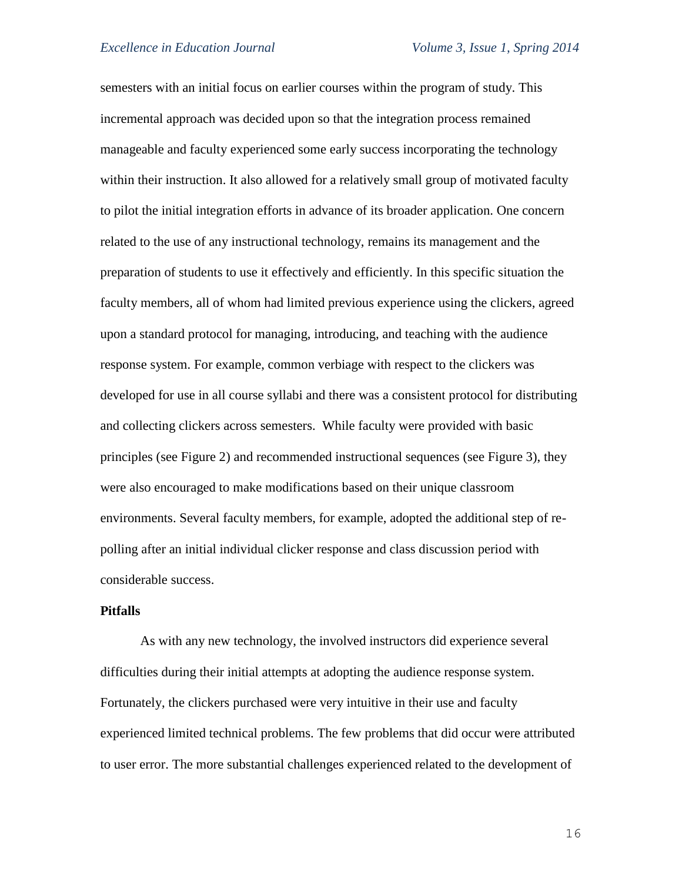semesters with an initial focus on earlier courses within the program of study. This incremental approach was decided upon so that the integration process remained manageable and faculty experienced some early success incorporating the technology within their instruction. It also allowed for a relatively small group of motivated faculty to pilot the initial integration efforts in advance of its broader application. One concern related to the use of any instructional technology, remains its management and the preparation of students to use it effectively and efficiently. In this specific situation the faculty members, all of whom had limited previous experience using the clickers, agreed upon a standard protocol for managing, introducing, and teaching with the audience response system. For example, common verbiage with respect to the clickers was developed for use in all course syllabi and there was a consistent protocol for distributing and collecting clickers across semesters. While faculty were provided with basic principles (see Figure 2) and recommended instructional sequences (see Figure 3), they were also encouraged to make modifications based on their unique classroom environments. Several faculty members, for example, adopted the additional step of repolling after an initial individual clicker response and class discussion period with considerable success.

## **Pitfalls**

As with any new technology, the involved instructors did experience several difficulties during their initial attempts at adopting the audience response system. Fortunately, the clickers purchased were very intuitive in their use and faculty experienced limited technical problems. The few problems that did occur were attributed to user error. The more substantial challenges experienced related to the development of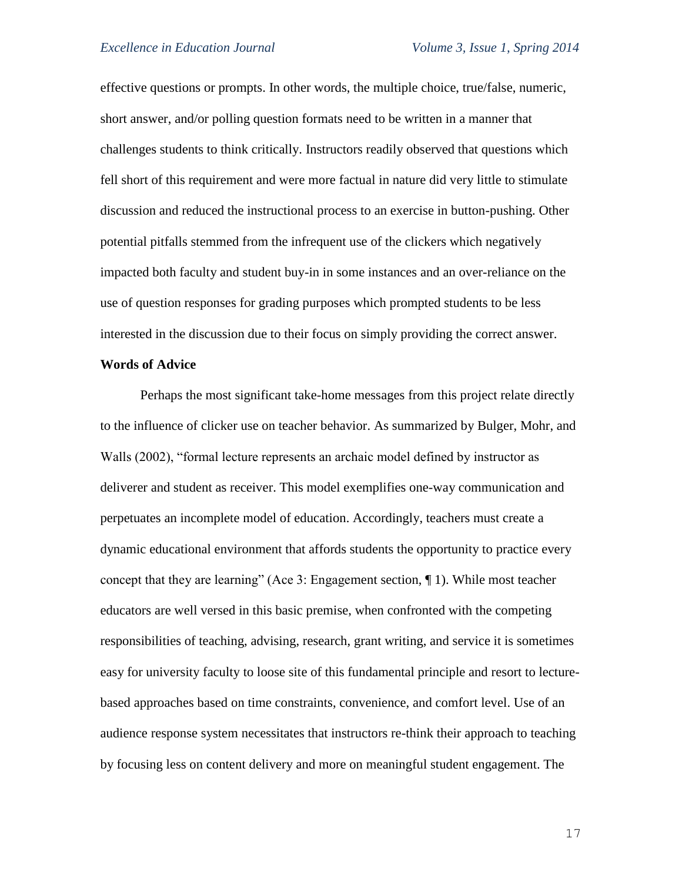effective questions or prompts. In other words, the multiple choice, true/false, numeric, short answer, and/or polling question formats need to be written in a manner that challenges students to think critically. Instructors readily observed that questions which fell short of this requirement and were more factual in nature did very little to stimulate discussion and reduced the instructional process to an exercise in button-pushing. Other potential pitfalls stemmed from the infrequent use of the clickers which negatively impacted both faculty and student buy-in in some instances and an over-reliance on the use of question responses for grading purposes which prompted students to be less interested in the discussion due to their focus on simply providing the correct answer.

#### **Words of Advice**

Perhaps the most significant take-home messages from this project relate directly to the influence of clicker use on teacher behavior. As summarized by Bulger, Mohr, and Walls (2002), "formal lecture represents an archaic model defined by instructor as deliverer and student as receiver. This model exemplifies one-way communication and perpetuates an incomplete model of education. Accordingly, teachers must create a dynamic educational environment that affords students the opportunity to practice every concept that they are learning" (Ace 3: Engagement section, ¶ 1). While most teacher educators are well versed in this basic premise, when confronted with the competing responsibilities of teaching, advising, research, grant writing, and service it is sometimes easy for university faculty to loose site of this fundamental principle and resort to lecturebased approaches based on time constraints, convenience, and comfort level. Use of an audience response system necessitates that instructors re-think their approach to teaching by focusing less on content delivery and more on meaningful student engagement. The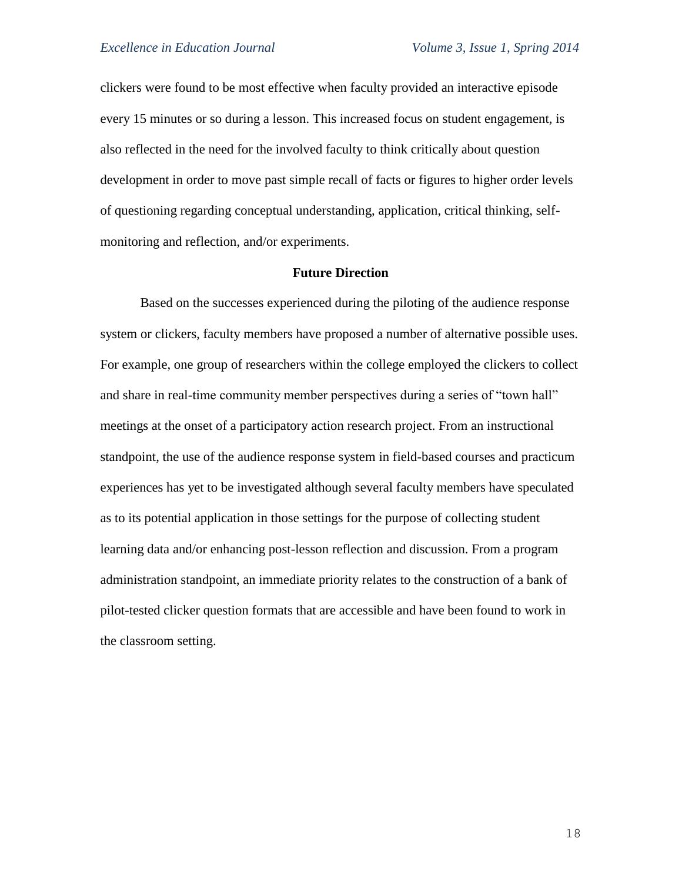clickers were found to be most effective when faculty provided an interactive episode every 15 minutes or so during a lesson. This increased focus on student engagement, is also reflected in the need for the involved faculty to think critically about question development in order to move past simple recall of facts or figures to higher order levels of questioning regarding conceptual understanding, application, critical thinking, selfmonitoring and reflection, and/or experiments.

# **Future Direction**

Based on the successes experienced during the piloting of the audience response system or clickers, faculty members have proposed a number of alternative possible uses. For example, one group of researchers within the college employed the clickers to collect and share in real-time community member perspectives during a series of "town hall" meetings at the onset of a participatory action research project. From an instructional standpoint, the use of the audience response system in field-based courses and practicum experiences has yet to be investigated although several faculty members have speculated as to its potential application in those settings for the purpose of collecting student learning data and/or enhancing post-lesson reflection and discussion. From a program administration standpoint, an immediate priority relates to the construction of a bank of pilot-tested clicker question formats that are accessible and have been found to work in the classroom setting.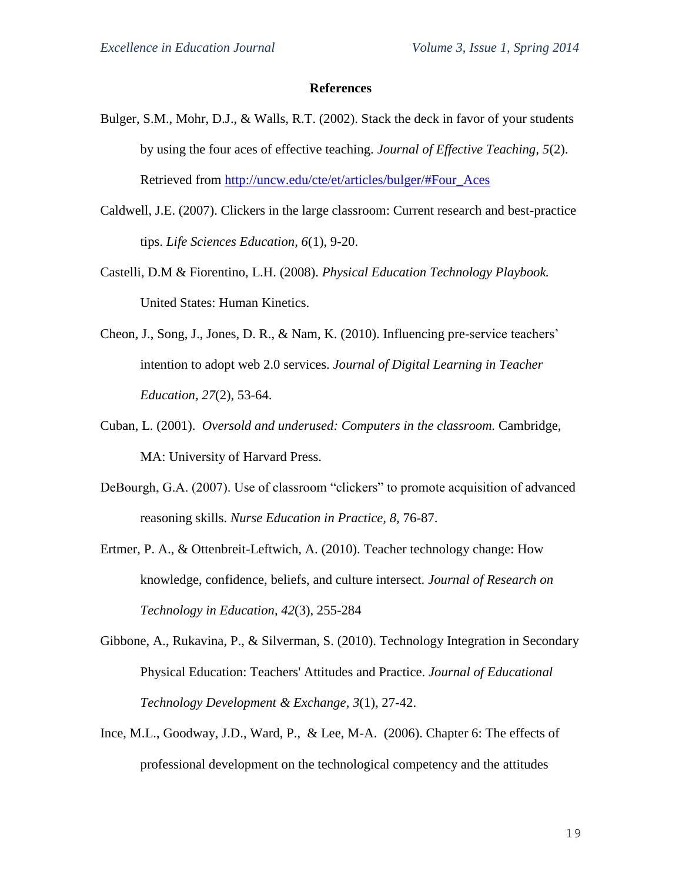#### **References**

- Bulger, S.M., Mohr, D.J., & Walls, R.T. (2002). Stack the deck in favor of your students by using the four aces of effective teaching. *Journal of Effective Teaching, 5*(2). Retrieved from [http://uncw.edu/cte/et/articles/bulger/#Four\\_Aces](http://uncw.edu/cte/et/articles/bulger/#Four_Aces)
- Caldwell, J.E. (2007). Clickers in the large classroom: Current research and best-practice tips. *Life Sciences Education, 6*(1), 9-20.
- Castelli, D.M & Fiorentino, L.H. (2008). *Physical Education Technology Playbook.* United States: Human Kinetics.
- Cheon, J., Song, J., Jones, D. R., & Nam, K. (2010). Influencing pre-service teachers' intention to adopt web 2.0 services. *Journal of Digital Learning in Teacher Education, 27*(2), 53-64.
- Cuban, L. (2001). *Oversold and underused: Computers in the classroom.* Cambridge, MA: University of Harvard Press.
- DeBourgh, G.A. (2007). Use of classroom "clickers" to promote acquisition of advanced reasoning skills. *Nurse Education in Practice, 8,* 76-87.
- Ertmer, P. A., & Ottenbreit-Leftwich, A. (2010). Teacher technology change: How knowledge, confidence, beliefs, and culture intersect. *Journal of Research on Technology in Education, 42*(3), 255-284
- Gibbone, A., Rukavina, P., & Silverman, S. (2010). Technology Integration in Secondary Physical Education: Teachers' Attitudes and Practice. *Journal of Educational Technology Development & Exchange, 3*(1), 27-42.
- Ince, M.L., Goodway, J.D., Ward, P., & Lee, M-A. (2006). Chapter 6: The effects of professional development on the technological competency and the attitudes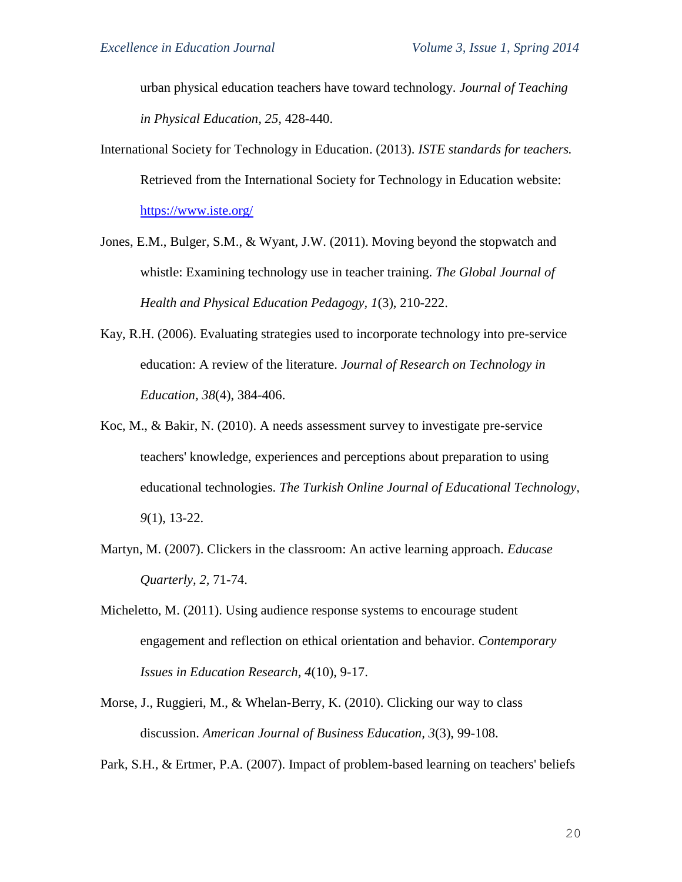urban physical education teachers have toward technology. *Journal of Teaching in Physical Education, 25,* 428-440.

- International Society for Technology in Education. (2013). *ISTE standards for teachers.*  Retrieved from the International Society for Technology in Education website: <https://www.iste.org/>
- Jones, E.M., Bulger, S.M., & Wyant, J.W. (2011). Moving beyond the stopwatch and whistle: Examining technology use in teacher training. *The Global Journal of Health and Physical Education Pedagogy, 1*(3), 210-222.
- Kay, R.H. (2006). Evaluating strategies used to incorporate technology into pre-service education: A review of the literature. *Journal of Research on Technology in Education, 38*(4), 384-406.
- Koc, M., & Bakir, N. (2010). A needs assessment survey to investigate pre-service teachers' knowledge, experiences and perceptions about preparation to using educational technologies. *The Turkish Online Journal of Educational Technology, 9*(1), 13-22.
- Martyn, M. (2007). Clickers in the classroom: An active learning approach. *Educase Quarterly, 2,* 71-74.
- Micheletto, M. (2011). Using audience response systems to encourage student engagement and reflection on ethical orientation and behavior. *Contemporary Issues in Education Research, 4*(10), 9-17.
- Morse, J., Ruggieri, M., & Whelan-Berry, K. (2010). Clicking our way to class discussion. *American Journal of Business Education, 3*(3), 99-108.

Park, S.H., & Ertmer, P.A. (2007). Impact of problem-based learning on teachers' beliefs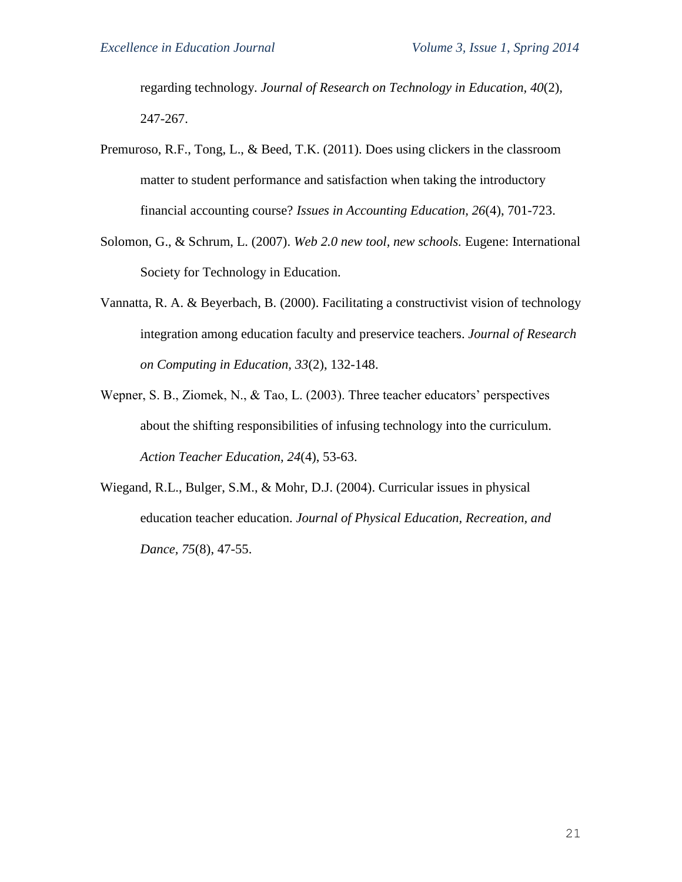regarding technology. *Journal of Research on Technology in Education, 40*(2)*,*  247-267.

- Premuroso, R.F., Tong, L., & Beed, T.K. (2011). Does using clickers in the classroom matter to student performance and satisfaction when taking the introductory financial accounting course? *Issues in Accounting Education, 26*(4), 701-723.
- Solomon, G., & Schrum, L. (2007). *Web 2.0 new tool, new schools.* Eugene: International Society for Technology in Education.
- Vannatta, R. A. & Beyerbach, B. (2000). Facilitating a constructivist vision of technology integration among education faculty and preservice teachers. *Journal of Research on Computing in Education, 33*(2), 132-148.
- Wepner, S. B., Ziomek, N., & Tao, L. (2003). Three teacher educators' perspectives about the shifting responsibilities of infusing technology into the curriculum. *Action Teacher Education, 24*(4), 53-63.
- Wiegand, R.L., Bulger, S.M., & Mohr, D.J. (2004). Curricular issues in physical education teacher education. *Journal of Physical Education, Recreation, and Dance, 75*(8), 47-55.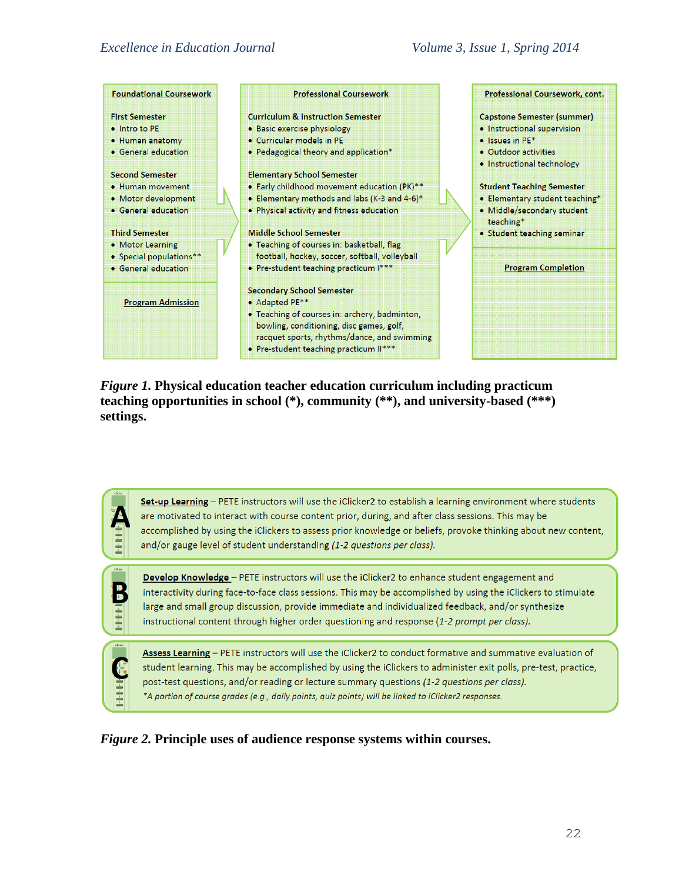| <b>Foundational Coursework</b>                                                                             | <b>Professional Coursework</b>                                                                                                                                                                                                           | Professional Coursework, cont.                                                                                                                    |
|------------------------------------------------------------------------------------------------------------|------------------------------------------------------------------------------------------------------------------------------------------------------------------------------------------------------------------------------------------|---------------------------------------------------------------------------------------------------------------------------------------------------|
| <b>First Semester</b><br>• Intro to PE<br>• Human anatomy<br>• General education<br><b>Second Semester</b> | <b>Curriculum &amp; Instruction Semester</b><br>• Basic exercise physiology<br>• Curricular models in PE<br>• Pedagogical theory and application*<br><b>Elementary School Semester</b>                                                   | <b>Capstone Semester (summer)</b><br>• Instructional supervision<br>$\bullet$ Issues in PE*<br>• Outdoor activities<br>• Instructional technology |
| • Human movement<br>· Motor development<br>• General education                                             | • Early childhood movement education (PK)**<br>• Elementary methods and labs (K-3 and 4-6)*<br>. Physical activity and fitness education                                                                                                 | <b>Student Teaching Semester</b><br>• Elementary student teaching*<br>· Middle/secondary student<br>teaching*                                     |
| <b>Third Semester</b><br>• Motor Learning<br>• Special populations**<br>• General education                | Middle School Semester<br>• Teaching of courses in: basketball, flag<br>football, hockey, soccer, softball, volleyball<br>• Pre-student teaching practicum I***                                                                          | • Student teaching seminar<br><b>Program Completion</b>                                                                                           |
| <b>Program Admission</b>                                                                                   | <b>Secondary School Semester</b><br>• Adapted PE**<br>• Teaching of courses in: archery, badminton,<br>bowling, conditioning, disc games, golf,<br>racquet sports, rhythms/dance, and swimming<br>• Pre-student teaching practicum II*** |                                                                                                                                                   |

*Figure 1.* **Physical education teacher education curriculum including practicum teaching opportunities in school (\*), community (\*\*), and university-based (\*\*\*) settings.**

| klicker<br>Ė        | Set-up Learning - PETE instructors will use the iClicker2 to establish a learning environment where students<br>are motivated to interact with course content prior, during, and after class sessions. This may be<br>accomplished by using the iClickers to assess prior knowledge or beliefs, provoke thinking about new content,<br>and/or gauge level of student understanding (1-2 questions per class).                        |
|---------------------|--------------------------------------------------------------------------------------------------------------------------------------------------------------------------------------------------------------------------------------------------------------------------------------------------------------------------------------------------------------------------------------------------------------------------------------|
| dicker              | <b>Develop Knowledge</b> - PETE instructors will use the iClicker2 to enhance student engagement and<br>interactivity during face-to-face class sessions. This may be accomplished by using the iClickers to stimulate<br>large and small group discussion, provide immediate and individualized feedback, and/or synthesize<br>instructional content through higher order questioning and response (1-2 prompt per class).          |
| klicker<br>1-1-1-14 | Assess Learning - PETE instructors will use the iClicker2 to conduct formative and summative evaluation of<br>student learning. This may be accomplished by using the iClickers to administer exit polls, pre-test, practice,<br>post-test questions, and/or reading or lecture summary questions (1-2 questions per class).<br>*A portion of course grades (e.g., daily points, quiz points) will be linked to iClicker2 responses. |

*Figure 2.* **Principle uses of audience response systems within courses.**